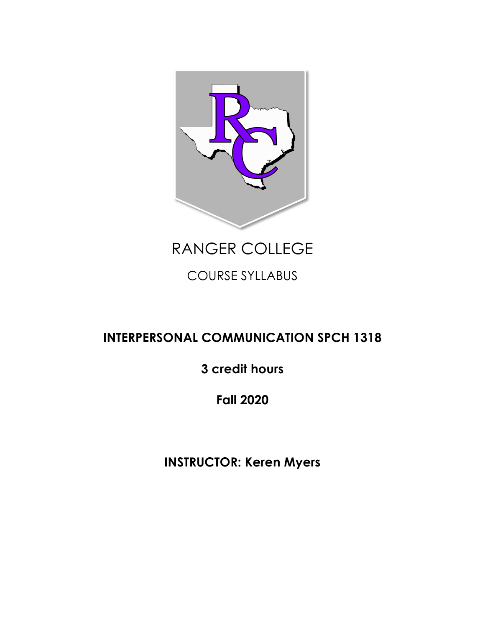

RANGER COLLEGE

COURSE SYLLABUS

# **INTERPERSONAL COMMUNICATION SPCH 1318**

**3 credit hours**

**Fall 2020**

**INSTRUCTOR: Keren Myers**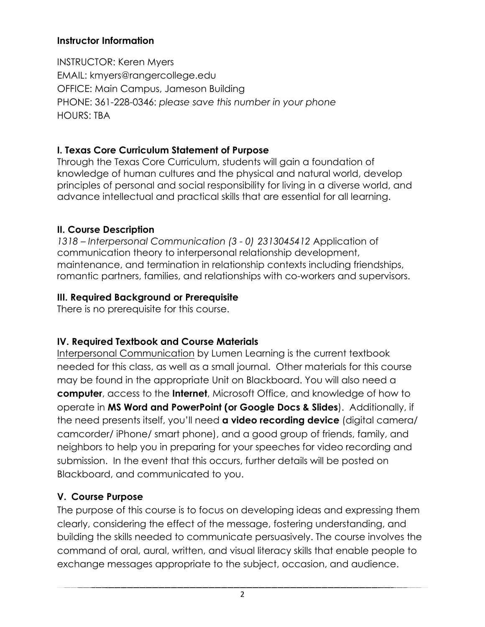#### **Instructor Information**

INSTRUCTOR: Keren Myers EMAIL: kmyers@rangercollege.edu OFFICE: Main Campus, Jameson Building PHONE: 361-228-0346: *please save this number in your phone*  HOURS: TBA

### **I. Texas Core Curriculum Statement of Purpose**

Through the Texas Core Curriculum, students will gain a foundation of knowledge of human cultures and the physical and natural world, develop principles of personal and social responsibility for living in a diverse world, and advance intellectual and practical skills that are essential for all learning.

### **II. Course Description**

*1318 – Interpersonal Communication (3 - 0) 2313045412* Application of communication theory to interpersonal relationship development, maintenance, and termination in relationship contexts including friendships, romantic partners, families, and relationships with co-workers and supervisors.

### **III. Required Background or Prerequisite**

There is no prerequisite for this course.

## **IV. Required Textbook and Course Materials**

Interpersonal Communication by Lumen Learning is the current textbook needed for this class, as well as a small journal. Other materials for this course may be found in the appropriate Unit on Blackboard. You will also need a **computer**, access to the **Internet**, Microsoft Office, and knowledge of how to operate in **MS Word and PowerPoint (or Google Docs & Slides**). Additionally, if the need presents itself, you'll need **a video recording device** (digital camera/ camcorder/ iPhone/ smart phone), and a good group of friends, family, and neighbors to help you in preparing for your speeches for video recording and submission. In the event that this occurs, further details will be posted on Blackboard, and communicated to you.

## **V. Course Purpose**

The purpose of this course is to focus on developing ideas and expressing them clearly, considering the effect of the message, fostering understanding, and building the skills needed to communicate persuasively. The course involves the command of oral, aural, written, and visual literacy skills that enable people to exchange messages appropriate to the subject, occasion, and audience.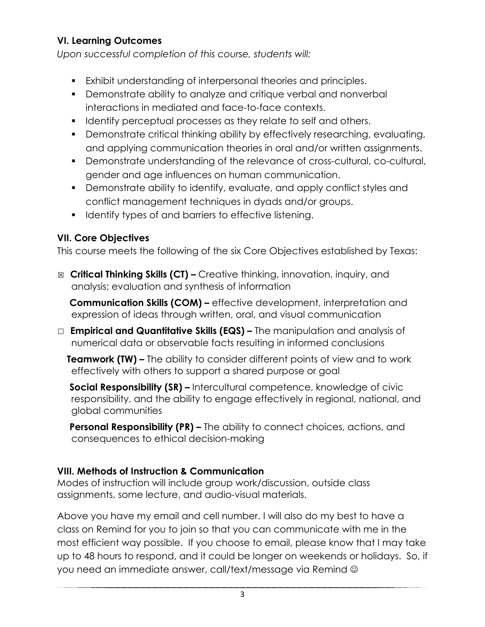### **VI. Learning Outcomes**

*Upon successful completion of this course, students will:*

- Exhibit understanding of interpersonal theories and principles.
- Demonstrate ability to analyze and critique verbal and nonverbal interactions in mediated and face-to-face contexts.
- Identify perceptual processes as they relate to self and others.
- § Demonstrate critical thinking ability by effectively researching, evaluating, and applying communication theories in oral and/or written assignments.
- § Demonstrate understanding of the relevance of cross-cultural, co-cultural, gender and age influences on human communication.
- § Demonstrate ability to identify, evaluate, and apply conflict styles and conflict management techniques in dyads and/or groups.
- Identify types of and barriers to effective listening.

#### **VII. Core Objectives**

This course meets the following of the six Core Objectives established by Texas:

☒ **Critical Thinking Skills (CT) –** Creative thinking, innovation, inquiry, and analysis; evaluation and synthesis of information

 **Communication Skills (COM) –** effective development, interpretation and expression of ideas through written, oral, and visual communication

☐ **Empirical and Quantitative Skills (EQS) –** The manipulation and analysis of numerical data or observable facts resulting in informed conclusions

**Teamwork (TW) –** The ability to consider different points of view and to work effectively with others to support a shared purpose or goal

**Social Responsibility (SR) –** Intercultural competence, knowledge of civic responsibility, and the ability to engage effectively in regional, national, and global communities

**Personal Responsibility (PR) –** The ability to connect choices, actions, and consequences to ethical decision-making

#### **VIII. Methods of Instruction & Communication**

Modes of instruction will include group work/discussion, outside class assignments, some lecture, and audio-visual materials.

Above you have my email and cell number. I will also do my best to have a class on Remind for you to join so that you can communicate with me in the most efficient way possible. If you choose to email, please know that I may take up to 48 hours to respond, and it could be longer on weekends or holidays. So, if you need an immediate answer, call/text/message via Remind  $\odot$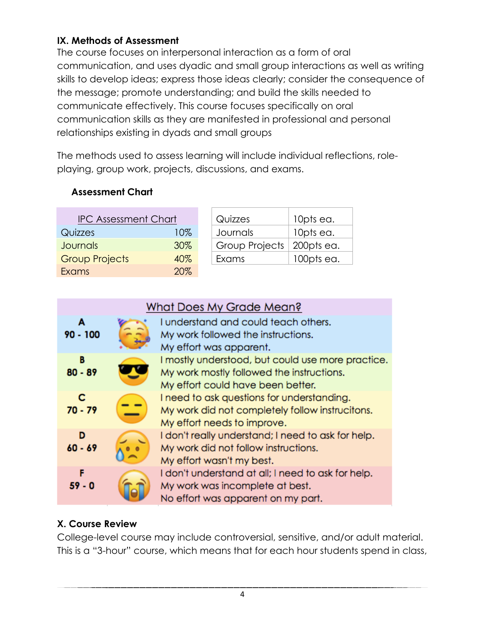### **IX. Methods of Assessment**

The course focuses on interpersonal interaction as a form of oral communication, and uses dyadic and small group interactions as well as writing skills to develop ideas; express those ideas clearly; consider the consequence of the message; promote understanding; and build the skills needed to communicate effectively. This course focuses specifically on oral communication skills as they are manifested in professional and personal relationships existing in dyads and small groups

The methods used to assess learning will include individual reflections, roleplaying, group work, projects, discussions, and exams.

### **Assessment Chart**

| <b>IPC Assessment Chart</b> |     | Quizzes        | 10pts ea.  |
|-----------------------------|-----|----------------|------------|
| Quizzes                     | 10% | Journals       | 10pts ea.  |
| <b>Journals</b>             | 30% | Group Projects | 200pts ea. |
| <b>Group Projects</b>       | 40% | Exams          | 100pts ea. |
| <b>Exams</b>                | 20% |                |            |

| What Does My Grade Mean? |  |                                                                                                                                     |
|--------------------------|--|-------------------------------------------------------------------------------------------------------------------------------------|
| A<br>$90 - 100$          |  | I understand and could teach others.<br>My work followed the instructions.<br>My effort was apparent.                               |
| в<br>$80 - 89$           |  | I mostly understood, but could use more practice.<br>My work mostly followed the instructions.<br>My effort could have been better. |
| c<br>$70 - 79$           |  | I need to ask questions for understanding.<br>My work did not completely follow instrucitons.<br>My effort needs to improve.        |
| D<br>$60 - 69$           |  | I don't really understand; I need to ask for help.<br>My work did not follow instructions.<br>My effort wasn't my best.             |
| F<br>$59 - 0$            |  | I don't understand at all; I need to ask for help.<br>My work was incomplete at best.<br>No effort was apparent on my part.         |

### **X. Course Review**

College-level course may include controversial, sensitive, and/or adult material. This is a "3-hour" course, which means that for each hour students spend in class,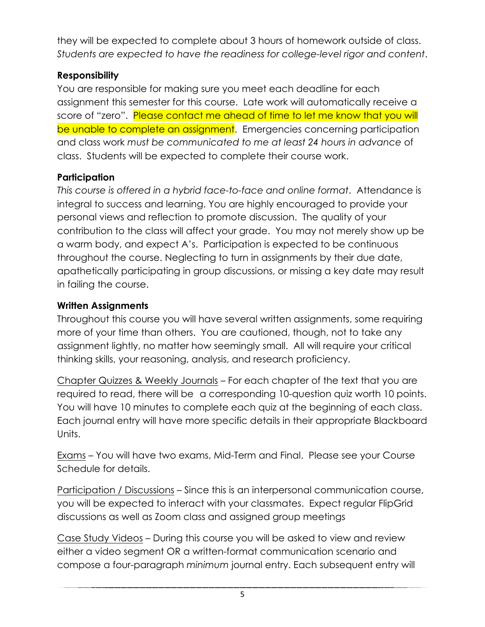they will be expected to complete about 3 hours of homework outside of class. *Students are expected to have the readiness for college-level rigor and content*.

### **Responsibility**

You are responsible for making sure you meet each deadline for each assignment this semester for this course. Late work will automatically receive a score of "zero". Please contact me ahead of time to let me know that you will be unable to complete an assignment. Emergencies concerning participation and class work *must be communicated to me at least 24 hours in advance* of class. Students will be expected to complete their course work.

#### **Participation**

*This course is offered in a hybrid face-to-face and online format*. Attendance is integral to success and learning. You are highly encouraged to provide your personal views and reflection to promote discussion. The quality of your contribution to the class will affect your grade. You may not merely show up be a warm body, and expect A's. Participation is expected to be continuous throughout the course. Neglecting to turn in assignments by their due date, apathetically participating in group discussions, or missing a key date may result in failing the course.

### **Written Assignments**

Throughout this course you will have several written assignments, some requiring more of your time than others. You are cautioned, though, not to take any assignment lightly, no matter how seemingly small. All will require your critical thinking skills, your reasoning, analysis, and research proficiency.

Chapter Quizzes & Weekly Journals – For each chapter of the text that you are required to read, there will be a corresponding 10-question quiz worth 10 points. You will have 10 minutes to complete each quiz at the beginning of each class. Each journal entry will have more specific details in their appropriate Blackboard Units.

Exams – You will have two exams, Mid-Term and Final. Please see your Course Schedule for details.

Participation / Discussions – Since this is an interpersonal communication course, you will be expected to interact with your classmates. Expect regular FlipGrid discussions as well as Zoom class and assigned group meetings

Case Study Videos – During this course you will be asked to view and review either a video segment OR a written-format communication scenario and compose a four-paragraph *minimum* journal entry. Each subsequent entry will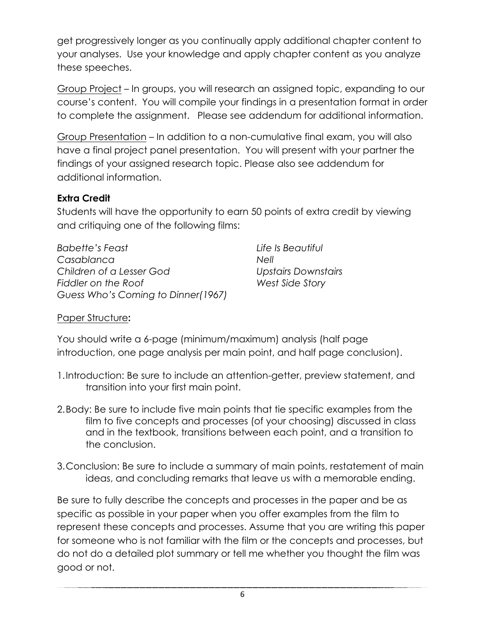get progressively longer as you continually apply additional chapter content to your analyses. Use your knowledge and apply chapter content as you analyze these speeches.

Group Project – In groups, you will research an assigned topic, expanding to our course's content. You will compile your findings in a presentation format in order to complete the assignment. Please see addendum for additional information.

Group Presentation – In addition to a non-cumulative final exam, you will also have a final project panel presentation. You will present with your partner the findings of your assigned research topic. Please also see addendum for additional information.

#### **Extra Credit**

Students will have the opportunity to earn 50 points of extra credit by viewing and critiquing one of the following films:

*Babette's Feast Casablanca Children of a Lesser God Fiddler on the Roof Guess Who's Coming to Dinner(1967)* *Life Is Beautiful Nell Upstairs Downstairs West Side Story*

#### Paper Structure**:**

You should write a 6-page (minimum/maximum) analysis (half page introduction, one page analysis per main point, and half page conclusion).

- 1.Introduction: Be sure to include an attention-getter, preview statement, and transition into your first main point.
- 2.Body: Be sure to include five main points that tie specific examples from the film to five concepts and processes (of your choosing) discussed in class and in the textbook, transitions between each point, and a transition to the conclusion.
- 3.Conclusion: Be sure to include a summary of main points, restatement of main ideas, and concluding remarks that leave us with a memorable ending.

Be sure to fully describe the concepts and processes in the paper and be as specific as possible in your paper when you offer examples from the film to represent these concepts and processes. Assume that you are writing this paper for someone who is not familiar with the film or the concepts and processes, but do not do a detailed plot summary or tell me whether you thought the film was good or not.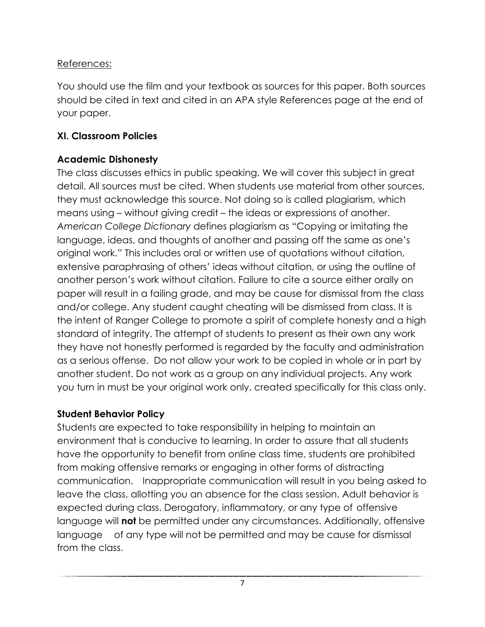### References:

You should use the film and your textbook as sources for this paper. Both sources should be cited in text and cited in an APA style References page at the end of your paper.

### **XI. Classroom Policies**

### **Academic Dishonesty**

The class discusses ethics in public speaking. We will cover this subject in great detail. All sources must be cited. When students use material from other sources, they must acknowledge this source. Not doing so is called plagiarism, which means using – without giving credit – the ideas or expressions of another. *American College Dictionary* defines plagiarism as "Copying or imitating the language, ideas, and thoughts of another and passing off the same as one's original work." This includes oral or written use of quotations without citation, extensive paraphrasing of others' ideas without citation, or using the outline of another person's work without citation. Failure to cite a source either orally on paper will result in a failing grade, and may be cause for dismissal from the class and/or college. Any student caught cheating will be dismissed from class. It is the intent of Ranger College to promote a spirit of complete honesty and a high standard of integrity. The attempt of students to present as their own any work they have not honestly performed is regarded by the faculty and administration as a serious offense. Do not allow your work to be copied in whole or in part by another student. Do not work as a group on any individual projects. Any work you turn in must be your original work only, created specifically for this class only.

### **Student Behavior Policy**

Students are expected to take responsibility in helping to maintain an environment that is conducive to learning. In order to assure that all students have the opportunity to benefit from online class time, students are prohibited from making offensive remarks or engaging in other forms of distracting communication. Inappropriate communication will result in you being asked to leave the class, allotting you an absence for the class session. Adult behavior is expected during class. Derogatory, inflammatory, or any type of offensive language will **not** be permitted under any circumstances. Additionally, offensive language of any type will not be permitted and may be cause for dismissal from the class.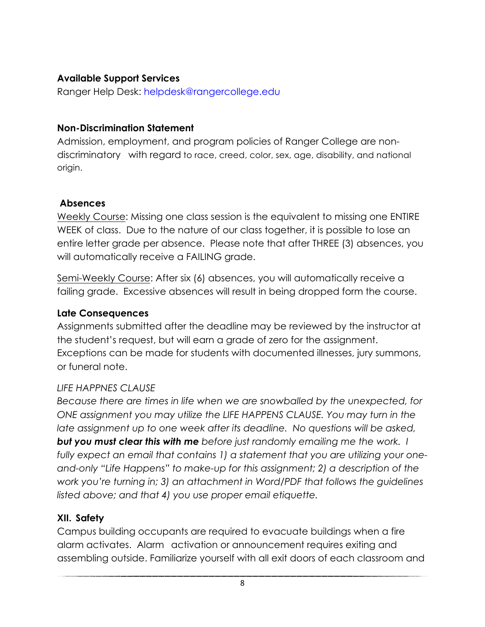### **Available Support Services**

Ranger Help Desk: helpdesk@rangercollege.edu

### **Non-Discrimination Statement**

Admission, employment, and program policies of Ranger College are nondiscriminatory with regard to race, creed, color, sex, age, disability, and national origin.

### **Absences**

Weekly Course: Missing one class session is the equivalent to missing one ENTIRE WEEK of class. Due to the nature of our class together, it is possible to lose an entire letter grade per absence. Please note that after THREE (3) absences, you will automatically receive a FAILING grade.

Semi-Weekly Course: After six (6) absences, you will automatically receive a failing grade. Excessive absences will result in being dropped form the course.

#### **Late Consequences**

Assignments submitted after the deadline may be reviewed by the instructor at the student's request, but will earn a grade of zero for the assignment. Exceptions can be made for students with documented illnesses, jury summons, or funeral note.

#### *LIFE HAPPNES CLAUSE*

*Because there are times in life when we are snowballed by the unexpected, for ONE assignment you may utilize the LIFE HAPPENS CLAUSE. You may turn in the late assignment up to one week after its deadline. No questions will be asked, but you must clear this with me before just randomly emailing me the work. I fully expect an email that contains 1) a statement that you are utilizing your oneand-only "Life Happens" to make-up for this assignment; 2) a description of the work you're turning in; 3) an attachment in Word/PDF that follows the guidelines listed above; and that 4) you use proper email etiquette.* 

#### **XII. Safety**

Campus building occupants are required to evacuate buildings when a fire alarm activates. Alarm activation or announcement requires exiting and assembling outside. Familiarize yourself with all exit doors of each classroom and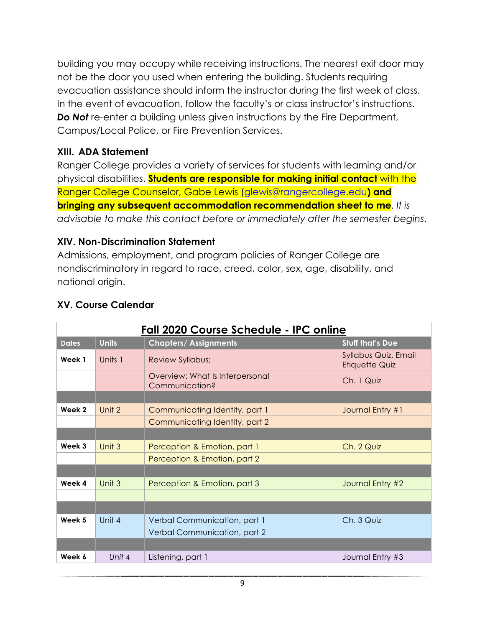building you may occupy while receiving instructions. The nearest exit door may not be the door you used when entering the building. Students requiring evacuation assistance should inform the instructor during the first week of class. In the event of evacuation, follow the faculty's or class instructor's instructions. **Do Not** re-enter a building unless given instructions by the Fire Department, Campus/Local Police, or Fire Prevention Services.

#### **XIII. ADA Statement**

Ranger College provides a variety of services for students with learning and/or physical disabilities. **Students are responsible for making initial contact** with the Ranger College Counselor, Gabe Lewis (glewis@rangercollege.edu**) and bringing any subsequent accommodation recommendation sheet to me**. *It is advisable to make this contact before or immediately after the semester begins*.

#### **XIV. Non-Discrimination Statement**

Admissions, employment, and program policies of Ranger College are nondiscriminatory in regard to race, creed, color, sex, age, disability, and national origin.

| ww.compe.com.com |              |                                                   |                                               |
|------------------|--------------|---------------------------------------------------|-----------------------------------------------|
|                  |              | Fall 2020 Course Schedule - IPC online            |                                               |
| <b>Dates</b>     | <b>Units</b> | <b>Chapters/Assignments</b>                       | <b>Stuff that's Due</b>                       |
| Week 1           | Units 1      | <b>Review Syllabus;</b>                           | Syllabus Quiz, Email<br><b>Etiquette Quiz</b> |
|                  |              | Overview: What Is Interpersonal<br>Communication? | Ch. 1 Quiz                                    |
|                  |              |                                                   |                                               |
| Week 2           | Unit 2       | Communicating Identity, part 1                    | Journal Entry #1                              |
|                  |              | Communicating Identity, part 2                    |                                               |
|                  |              |                                                   |                                               |
| Week 3           | Unit 3       | Perception & Emotion, part 1                      | Ch. 2 Quiz                                    |
|                  |              | Perception & Emotion, part 2                      |                                               |
|                  |              |                                                   |                                               |
| Week 4           | Unit 3       | Perception & Emotion, part 3                      | Journal Entry #2                              |
|                  |              |                                                   |                                               |
|                  |              |                                                   |                                               |
| Week 5           | Unit 4       | Verbal Communication, part 1                      | Ch. 3 Quiz                                    |
|                  |              | Verbal Communication, part 2                      |                                               |
|                  |              |                                                   |                                               |
| Week 6           | Unit 4       | Listening, part 1                                 | Journal Entry #3                              |
|                  |              |                                                   |                                               |

#### **XV. Course Calendar**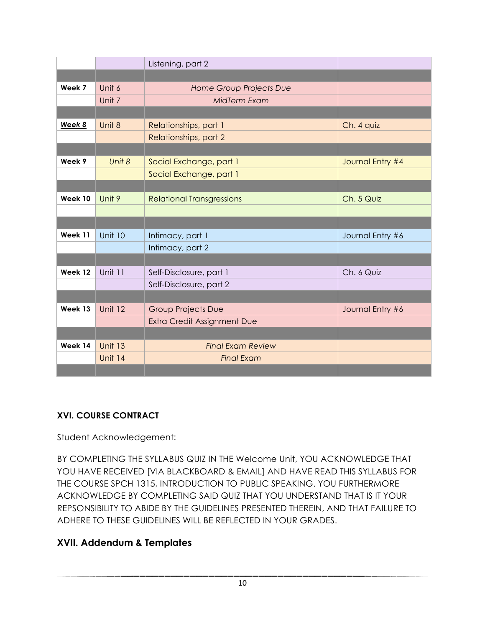|                      |                | Listening, part 2                  |                  |
|----------------------|----------------|------------------------------------|------------------|
|                      |                |                                    |                  |
| Week 7               | Unit 6         | Home Group Projects Due            |                  |
|                      | Unit 7         | MidTerm Exam                       |                  |
|                      |                |                                    |                  |
| Week 8               | Unit 8         | Relationships, part 1              | Ch. 4 quiz       |
| $\ddot{\phantom{1}}$ |                | Relationships, part 2              |                  |
|                      |                |                                    |                  |
| Week 9               | Unit 8         | Social Exchange, part 1            | Journal Entry #4 |
|                      |                | Social Exchange, part 1            |                  |
|                      |                |                                    |                  |
| Week 10              | Unit 9         | <b>Relational Transgressions</b>   | Ch. 5 Quiz       |
|                      |                |                                    |                  |
|                      |                |                                    |                  |
| Week 11              | <b>Unit 10</b> | Intimacy, part 1                   | Journal Entry #6 |
|                      |                | Intimacy, part 2                   |                  |
|                      |                |                                    |                  |
| Week 12              | Unit 11        | Self-Disclosure, part 1            | Ch. 6 Quiz       |
|                      |                | Self-Disclosure, part 2            |                  |
|                      |                |                                    |                  |
| Week 13              | <b>Unit 12</b> | <b>Group Projects Due</b>          | Journal Entry #6 |
|                      |                | <b>Extra Credit Assignment Due</b> |                  |
|                      |                |                                    |                  |
| Week 14              | <b>Unit 13</b> | <b>Final Exam Review</b>           |                  |
|                      | <b>Unit 14</b> | <b>Final Exam</b>                  |                  |
|                      |                |                                    |                  |

#### **XVI. COURSE CONTRACT**

Student Acknowledgement:

BY COMPLETING THE SYLLABUS QUIZ IN THE Welcome Unit, YOU ACKNOWLEDGE THAT YOU HAVE RECEIVED [VIA BLACKBOARD & EMAIL] AND HAVE READ THIS SYLLABUS FOR THE COURSE SPCH 1315, INTRODUCTION TO PUBLIC SPEAKING. YOU FURTHERMORE ACKNOWLEDGE BY COMPLETING SAID QUIZ THAT YOU UNDERSTAND THAT IS IT YOUR REPSONSIBILITY TO ABIDE BY THE GUIDELINES PRESENTED THEREIN, AND THAT FAILURE TO ADHERE TO THESE GUIDELINES WILL BE REFLECTED IN YOUR GRADES.

#### **XVII. Addendum & Templates**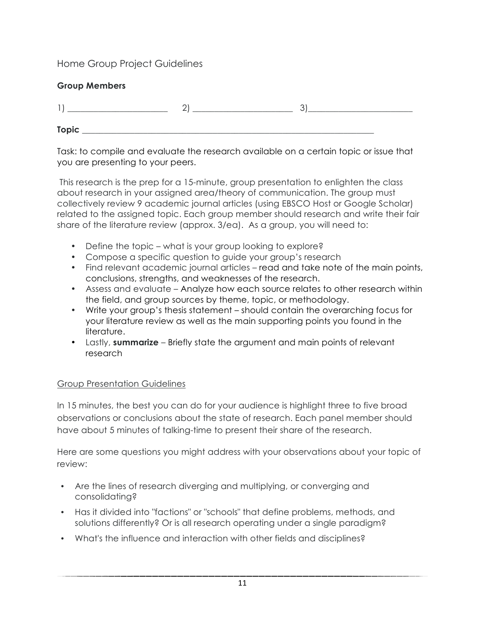#### Home Group Project Guidelines

| <b>Group Members</b> |  |
|----------------------|--|
|                      |  |
| <b>Topic</b>         |  |

Task: to compile and evaluate the research available on a certain topic or issue that you are presenting to your peers.

This research is the prep for a 15-minute, group presentation to enlighten the class about research in your assigned area/theory of communication. The group must collectively review 9 academic journal articles (using EBSCO Host or Google Scholar) related to the assigned topic. Each group member should research and write their fair share of the literature review (approx. 3/ea). As a group, you will need to:

- Define the topic what is your group looking to explore?
- Compose a specific question to guide your group's research
- Find relevant academic journal articles read and take note of the main points, conclusions, strengths, and weaknesses of the research.
- Assess and evaluate Analyze how each source relates to other research within the field, and group sources by theme, topic, or methodology.
- Write your group's thesis statement should contain the overarching focus for your literature review as well as the main supporting points you found in the literature.
- Lastly, **summarize** Briefly state the argument and main points of relevant research

#### Group Presentation Guidelines

In 15 minutes, the best you can do for your audience is highlight three to five broad observations or conclusions about the state of research. Each panel member should have about 5 minutes of talking-time to present their share of the research.

Here are some questions you might address with your observations about your topic of review:

- Are the lines of research diverging and multiplying, or converging and consolidating?
- Has it divided into "factions" or "schools" that define problems, methods, and solutions differently? Or is all research operating under a single paradigm?
- What's the influence and interaction with other fields and disciplines?